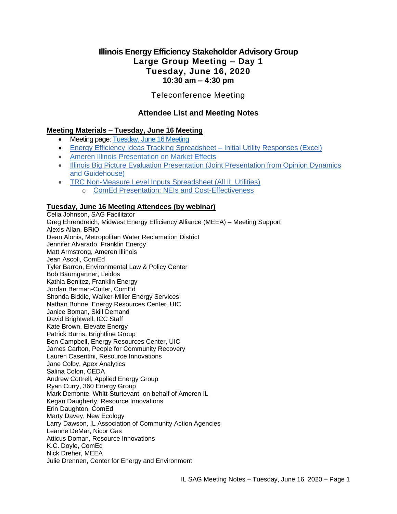# **Illinois Energy Efficiency Stakeholder Advisory Group Large Group Meeting – Day 1 Tuesday, June 16, 2020 10:30 am – 4:30 pm**

# Teleconference Meeting

# **Attendee List and Meeting Notes**

# **Meeting Materials – Tuesday, June 16 Meeting**

- Meeting page: [Tuesday, June 16 Meeting](https://www.ilsag.info/event/tuesday-june-16-sag-meeting/)
- [Energy Efficiency Ideas Tracking Spreadsheet –](https://s3.amazonaws.com/ilsag/SAG_2020-Planning-Process_Utility-Responses-to-EE-Ideas_Consolidated_6-15-20_FINAL.xlsx) Initial Utility Responses (Excel)
- [Ameren Illinois Presentation on Market Effects](https://s3.amazonaws.com/ilsag/AIC-presentation-on-Market-Effects-to-SAG_6-16-2020-1.pdf)
- Illinois Big Picture Evaluation Presentation (Joint Presentation from Opinion Dynamics [and Guidehouse\)](https://s3.amazonaws.com/ilsag/SAG-Evaluation-Big-Picture-Presentation-2020-06-10.pdf)
- [TRC Non-Measure Level Inputs Spreadsheet \(All IL Utilities\)](https://s3.amazonaws.com/ilsag/SAG-TRC-Inputs-Template-for-Completion_6-16-2020_Consolidated.xlsx) o [ComEd Presentation: NEIs and Cost-Effectiveness](https://s3.amazonaws.com/ilsag/SAG_Presentation_ComEd_TRC_Inputs_6-16-2020.pdf)

### **Tuesday, June 16 Meeting Attendees (by webinar)**

Celia Johnson, SAG Facilitator Greg Ehrendreich, Midwest Energy Efficiency Alliance (MEEA) – Meeting Support Alexis Allan, BRiO Dean Alonis, Metropolitan Water Reclamation District Jennifer Alvarado, Franklin Energy Matt Armstrong, Ameren Illinois Jean Ascoli, ComEd Tyler Barron, Environmental Law & Policy Center Bob Baumgartner, Leidos Kathia Benitez, Franklin Energy Jordan Berman-Cutler, ComEd Shonda Biddle, Walker-Miller Energy Services Nathan Bohne, Energy Resources Center, UIC Janice Boman, Skill Demand David Brightwell, ICC Staff Kate Brown, Elevate Energy Patrick Burns, Brightline Group Ben Campbell, Energy Resources Center, UIC James Carlton, People for Community Recovery Lauren Casentini, Resource Innovations Jane Colby, Apex Analytics Salina Colon, CEDA Andrew Cottrell, Applied Energy Group Ryan Curry, 360 Energy Group Mark Demonte, Whitt-Sturtevant, on behalf of Ameren IL Kegan Daugherty, Resource Innovations Erin Daughton, ComEd Marty Davey, New Ecology Larry Dawson, IL Association of Community Action Agencies Leanne DeMar, Nicor Gas Atticus Doman, Resource Innovations K.C. Doyle, ComEd Nick Dreher, MEEA Julie Drennen, Center for Energy and Environment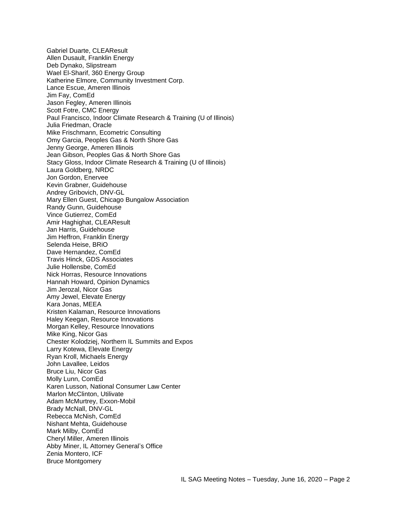Gabriel Duarte, CLEAResult Allen Dusault, Franklin Energy Deb Dynako, Slipstream Wael El-Sharif, 360 Energy Group Katherine Elmore, Community Investment Corp. Lance Escue, Ameren Illinois Jim Fay, ComEd Jason Fegley, Ameren Illinois Scott Fotre, CMC Energy Paul Francisco, Indoor Climate Research & Training (U of Illinois) Julia Friedman, Oracle Mike Frischmann, Ecometric Consulting Omy Garcia, Peoples Gas & North Shore Gas Jenny George, Ameren Illinois Jean Gibson, Peoples Gas & North Shore Gas Stacy Gloss, Indoor Climate Research & Training (U of Illinois) Laura Goldberg, NRDC Jon Gordon, Enervee Kevin Grabner, Guidehouse Andrey Gribovich, DNV-GL Mary Ellen Guest, Chicago Bungalow Association Randy Gunn, Guidehouse Vince Gutierrez, ComEd Amir Haghighat, CLEAResult Jan Harris, Guidehouse Jim Heffron, Franklin Energy Selenda Heise, BRiO Dave Hernandez, ComEd Travis Hinck, GDS Associates Julie Hollensbe, ComEd Nick Horras, Resource Innovations Hannah Howard, Opinion Dynamics Jim Jerozal, Nicor Gas Amy Jewel, Elevate Energy Kara Jonas, MEEA Kristen Kalaman, Resource Innovations Haley Keegan, Resource Innovations Morgan Kelley, Resource Innovations Mike King, Nicor Gas Chester Kolodziej, Northern IL Summits and Expos Larry Kotewa, Elevate Energy Ryan Kroll, Michaels Energy John Lavallee, Leidos Bruce Liu, Nicor Gas Molly Lunn, ComEd Karen Lusson, National Consumer Law Center Marlon McClinton, Utilivate Adam McMurtrey, Exxon-Mobil Brady McNall, DNV-GL Rebecca McNish, ComEd Nishant Mehta, Guidehouse Mark Milby, ComEd Cheryl Miller, Ameren Illinois Abby Miner, IL Attorney General's Office Zenia Montero, ICF Bruce Montgomery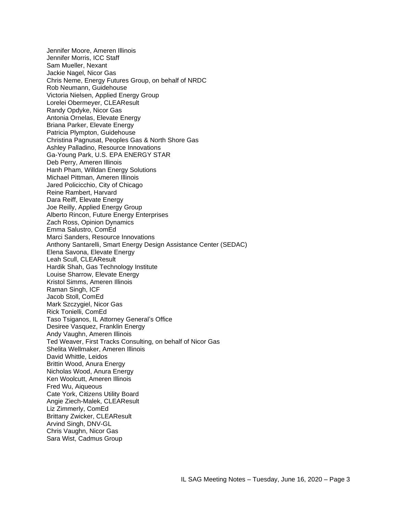Jennifer Moore, Ameren Illinois Jennifer Morris, ICC Staff Sam Mueller, Nexant Jackie Nagel, Nicor Gas Chris Neme, Energy Futures Group, on behalf of NRDC Rob Neumann, Guidehouse Victoria Nielsen, Applied Energy Group Lorelei Obermeyer, CLEAResult Randy Opdyke, Nicor Gas Antonia Ornelas, Elevate Energy Briana Parker, Elevate Energy Patricia Plympton, Guidehouse Christina Pagnusat, Peoples Gas & North Shore Gas Ashley Palladino, Resource Innovations Ga-Young Park, U.S. EPA ENERGY STAR Deb Perry, Ameren Illinois Hanh Pham, Willdan Energy Solutions Michael Pittman, Ameren Illinois Jared Policicchio, City of Chicago Reine Rambert, Harvard Dara Reiff, Elevate Energy Joe Reilly, Applied Energy Group Alberto Rincon, Future Energy Enterprises Zach Ross, Opinion Dynamics Emma Salustro, ComEd Marci Sanders, Resource Innovations Anthony Santarelli, Smart Energy Design Assistance Center (SEDAC) Elena Savona, Elevate Energy Leah Scull, CLEAResult Hardik Shah, Gas Technology Institute Louise Sharrow, Elevate Energy Kristol Simms, Ameren Illinois Raman Singh, ICF Jacob Stoll, ComEd Mark Szczygiel, Nicor Gas Rick Tonielli, ComEd Taso Tsiganos, IL Attorney General's Office Desiree Vasquez, Franklin Energy Andy Vaughn, Ameren Illinois Ted Weaver, First Tracks Consulting, on behalf of Nicor Gas Shelita Wellmaker, Ameren Illinois David Whittle, Leidos Brittin Wood, Anura Energy Nicholas Wood, Anura Energy Ken Woolcutt, Ameren Illinois Fred Wu, Aiqueous Cate York, Citizens Utility Board Angie Ziech-Malek, CLEAResult Liz Zimmerly, ComEd Brittany Zwicker, CLEAResult Arvind Singh, DNV-GL Chris Vaughn, Nicor Gas Sara Wist, Cadmus Group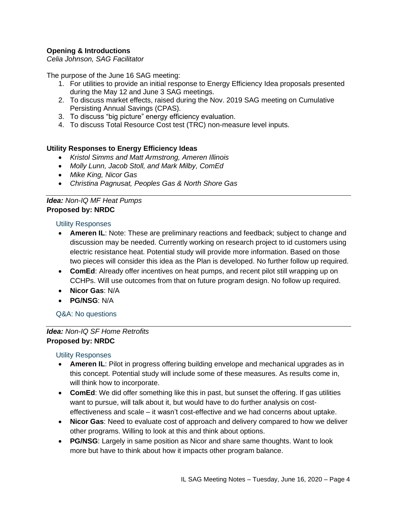# **Opening & Introductions**

*Celia Johnson, SAG Facilitator*

The purpose of the June 16 SAG meeting:

- 1. For utilities to provide an initial response to Energy Efficiency Idea proposals presented during the May 12 and June 3 SAG meetings.
- 2. To discuss market effects, raised during the Nov. 2019 SAG meeting on Cumulative Persisting Annual Savings (CPAS).
- 3. To discuss "big picture" energy efficiency evaluation.
- 4. To discuss Total Resource Cost test (TRC) non-measure level inputs.

### **Utility Responses to Energy Efficiency Ideas**

- *Kristol Simms and Matt Armstrong, Ameren Illinois*
- *Molly Lunn, Jacob Stoll, and Mark Milby, ComEd*
- *Mike King, Nicor Gas*
- *Christina Pagnusat, Peoples Gas & North Shore Gas*

# *Idea: Non-IQ MF Heat Pumps* **Proposed by: NRDC**

#### Utility Responses

- **Ameren IL**: Note: These are preliminary reactions and feedback; subject to change and discussion may be needed. Currently working on research project to id customers using electric resistance heat. Potential study will provide more information. Based on those two pieces will consider this idea as the Plan is developed. No further follow up required.
- **ComEd**: Already offer incentives on heat pumps, and recent pilot still wrapping up on CCHPs. Will use outcomes from that on future program design. No follow up required.
- **Nicor Gas**: N/A
- **PG/NSG**: N/A

Q&A: No questions

# *Idea: Non-IQ SF Home Retrofits* **Proposed by: NRDC**

- **Ameren IL**: Pilot in progress offering building envelope and mechanical upgrades as in this concept. Potential study will include some of these measures. As results come in, will think how to incorporate.
- **ComEd**: We did offer something like this in past, but sunset the offering. If gas utilities want to pursue, will talk about it, but would have to do further analysis on costeffectiveness and scale – it wasn't cost-effective and we had concerns about uptake.
- **Nicor Gas**: Need to evaluate cost of approach and delivery compared to how we deliver other programs. Willing to look at this and think about options.
- **PG/NSG**: Largely in same position as Nicor and share same thoughts. Want to look more but have to think about how it impacts other program balance.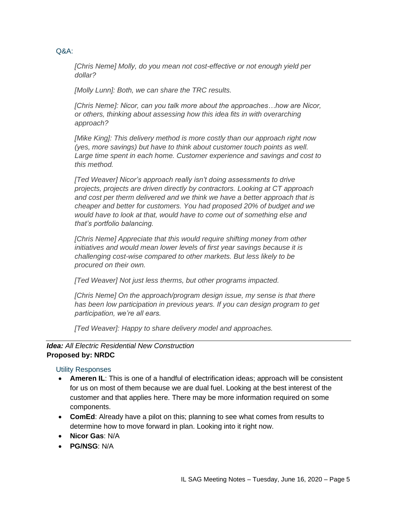*[Chris Neme] Molly, do you mean not cost-effective or not enough yield per dollar?*

*[Molly Lunn]: Both, we can share the TRC results.*

*[Chris Neme]: Nicor, can you talk more about the approaches…how are Nicor, or others, thinking about assessing how this idea fits in with overarching approach?*

*[Mike King]: This delivery method is more costly than our approach right now (yes, more savings) but have to think about customer touch points as well. Large time spent in each home. Customer experience and savings and cost to this method.*

*[Ted Weaver] Nicor's approach really isn't doing assessments to drive projects, projects are driven directly by contractors. Looking at CT approach and cost per therm delivered and we think we have a better approach that is cheaper and better for customers. You had proposed 20% of budget and we would have to look at that, would have to come out of something else and that's portfolio balancing.*

*[Chris Neme] Appreciate that this would require shifting money from other initiatives and would mean lower levels of first year savings because it is challenging cost-wise compared to other markets. But less likely to be procured on their own.* 

*[Ted Weaver] Not just less therms, but other programs impacted.*

*[Chris Neme] On the approach/program design issue, my sense is that there has been low participation in previous years. If you can design program to get participation, we're all ears.*

*[Ted Weaver]: Happy to share delivery model and approaches.*

# *Idea: All Electric Residential New Construction* **Proposed by: NRDC**

Utility Responses

- **Ameren IL**: This is one of a handful of electrification ideas; approach will be consistent for us on most of them because we are dual fuel. Looking at the best interest of the customer and that applies here. There may be more information required on some components.
- **ComEd**: Already have a pilot on this; planning to see what comes from results to determine how to move forward in plan. Looking into it right now.
- **Nicor Gas**: N/A
- **PG/NSG**: N/A

# Q&A: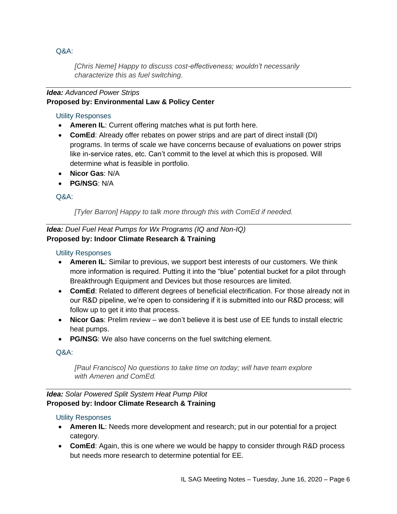*[Chris Neme] Happy to discuss cost-effectiveness; wouldn't necessarily characterize this as fuel switching.* 

# *Idea: Advanced Power Strips* **Proposed by: Environmental Law & Policy Center**

# Utility Responses

- **Ameren IL**: Current offering matches what is put forth here.
- **ComEd**: Already offer rebates on power strips and are part of direct install (DI) programs. In terms of scale we have concerns because of evaluations on power strips like in-service rates, etc. Can't commit to the level at which this is proposed. Will determine what is feasible in portfolio.
- **Nicor Gas**: N/A
- **PG/NSG**: N/A

# Q&A:

*[Tyler Barron] Happy to talk more through this with ComEd if needed.*

*Idea: Duel Fuel Heat Pumps for Wx Programs (IQ and Non-IQ)* **Proposed by: Indoor Climate Research & Training**

# Utility Responses

- **Ameren IL**: Similar to previous, we support best interests of our customers. We think more information is required. Putting it into the "blue" potential bucket for a pilot through Breakthrough Equipment and Devices but those resources are limited.
- **ComEd**: Related to different degrees of beneficial electrification. For those already not in our R&D pipeline, we're open to considering if it is submitted into our R&D process; will follow up to get it into that process.
- **Nicor Gas**: Prelim review we don't believe it is best use of EE funds to install electric heat pumps.
- **PG/NSG**: We also have concerns on the fuel switching element.

# Q&A:

*[Paul Francisco] No questions to take time on today; will have team explore with Ameren and ComEd.*

# *Idea: Solar Powered Split System Heat Pump Pilot* **Proposed by: Indoor Climate Research & Training**

- **Ameren IL**: Needs more development and research; put in our potential for a project category.
- **ComEd**: Again, this is one where we would be happy to consider through R&D process but needs more research to determine potential for EE.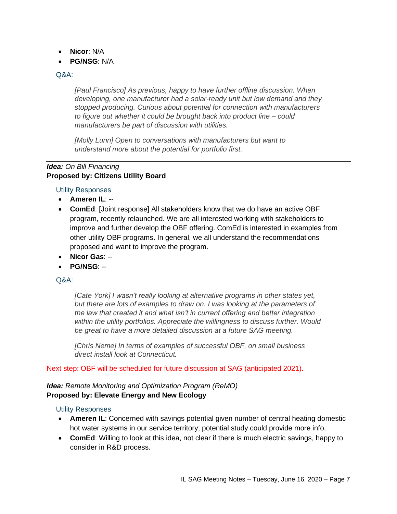- **Nicor**: N/A
- **PG/NSG**: N/A

*[Paul Francisco] As previous, happy to have further offline discussion. When developing, one manufacturer had a solar-ready unit but low demand and they stopped producing. Curious about potential for connection with manufacturers to figure out whether it could be brought back into product line – could manufacturers be part of discussion with utilities.*

*[Molly Lunn] Open to conversations with manufacturers but want to understand more about the potential for portfolio first.* 

### *Idea: On Bill Financing* **Proposed by: Citizens Utility Board**

Utility Responses

- **Ameren IL**: --
- **ComEd**: [Joint response] All stakeholders know that we do have an active OBF program, recently relaunched. We are all interested working with stakeholders to improve and further develop the OBF offering. ComEd is interested in examples from other utility OBF programs. In general, we all understand the recommendations proposed and want to improve the program.
- **Nicor Gas**: --
- **PG/NSG**: --

# Q&A:

*[Cate York] I wasn't really looking at alternative programs in other states yet, but there are lots of examples to draw on. I was looking at the parameters of the law that created it and what isn't in current offering and better integration within the utility portfolios. Appreciate the willingness to discuss further. Would be great to have a more detailed discussion at a future SAG meeting.*

*[Chris Neme] In terms of examples of successful OBF, on small business direct install look at Connecticut.* 

Next step: OBF will be scheduled for future discussion at SAG (anticipated 2021).

*Idea: Remote Monitoring and Optimization Program (ReMO)* **Proposed by: Elevate Energy and New Ecology**

- **Ameren IL**: Concerned with savings potential given number of central heating domestic hot water systems in our service territory; potential study could provide more info.
- **ComEd**: Willing to look at this idea, not clear if there is much electric savings, happy to consider in R&D process.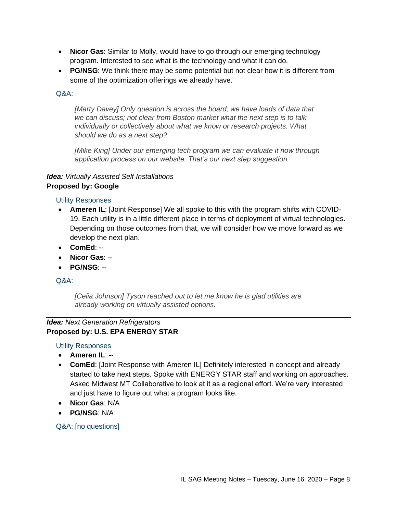- **Nicor Gas**: Similar to Molly, would have to go through our emerging technology program. Interested to see what is the technology and what it can do.
- **PG/NSG**: We think there may be some potential but not clear how it is different from some of the optimization offerings we already have.

*[Marty Davey] Only question is across the board; we have loads of data that we can discuss; not clear from Boston market what the next step is to talk individually or collectively about what we know or research projects. What should we do as a next step?*

*[Mike King] Under our emerging tech program we can evaluate it now through application process on our website. That's our next step suggestion.*

# *Idea: Virtually Assisted Self Installations* **Proposed by: Google**

# Utility Responses

- **Ameren IL**: [Joint Response] We all spoke to this with the program shifts with COVID-19. Each utility is in a little different place in terms of deployment of virtual technologies. Depending on those outcomes from that, we will consider how we move forward as we develop the next plan.
- **ComEd**: --
- **Nicor Gas**: --
- **PG/NSG**: --

# Q&A:

*[Celia Johnson] Tyson reached out to let me know he is glad utilities are already working on virtually assisted options.*

### *Idea: Next Generation Refrigerators* **Proposed by: U.S. EPA ENERGY STAR**

Utility Responses

- **Ameren IL**: --
- **ComEd**: [Joint Response with Ameren IL] Definitely interested in concept and already started to take next steps. Spoke with ENERGY STAR staff and working on approaches. Asked Midwest MT Collaborative to look at it as a regional effort. We're very interested and just have to figure out what a program looks like.
- **Nicor Gas**: N/A
- **PG/NSG**: N/A

Q&A: [no questions]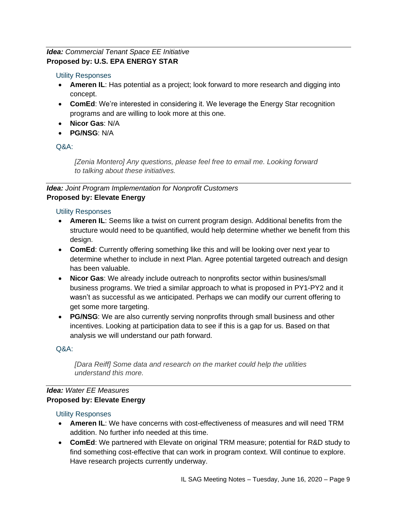# *Idea: Commercial Tenant Space EE Initiative* **Proposed by: U.S. EPA ENERGY STAR**

# Utility Responses

- **Ameren IL**: Has potential as a project; look forward to more research and digging into concept.
- **ComEd**: We're interested in considering it. We leverage the Energy Star recognition programs and are willing to look more at this one.
- **Nicor Gas**: N/A
- **PG/NSG**: N/A

# $O\&A$

*[Zenia Montero] Any questions, please feel free to email me. Looking forward to talking about these initiatives.*

# *Idea: Joint Program Implementation for Nonprofit Customers* **Proposed by: Elevate Energy**

# Utility Responses

- **Ameren IL**: Seems like a twist on current program design. Additional benefits from the structure would need to be quantified, would help determine whether we benefit from this design.
- **ComEd**: Currently offering something like this and will be looking over next year to determine whether to include in next Plan. Agree potential targeted outreach and design has been valuable.
- **Nicor Gas**: We already include outreach to nonprofits sector within busines/small business programs. We tried a similar approach to what is proposed in PY1-PY2 and it wasn't as successful as we anticipated. Perhaps we can modify our current offering to get some more targeting.
- **PG/NSG**: We are also currently serving nonprofits through small business and other incentives. Looking at participation data to see if this is a gap for us. Based on that analysis we will understand our path forward.

# Q&A:

*[Dara Reiff] Some data and research on the market could help the utilities understand this more.* 

# *Idea: Water EE Measures* **Proposed by: Elevate Energy**

- **Ameren IL**: We have concerns with cost-effectiveness of measures and will need TRM addition. No further info needed at this time.
- **ComEd**: We partnered with Elevate on original TRM measure; potential for R&D study to find something cost-effective that can work in program context. Will continue to explore. Have research projects currently underway.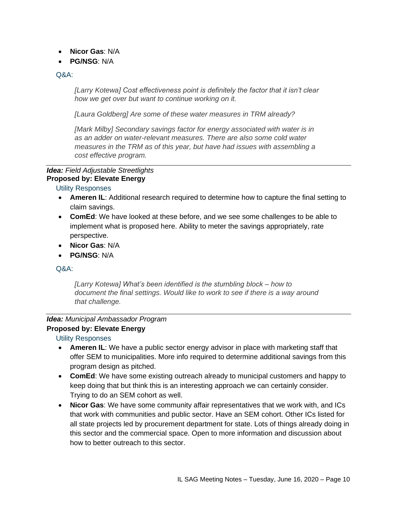- **Nicor Gas**: N/A
- **PG/NSG**: N/A

*[Larry Kotewa] Cost effectiveness point is definitely the factor that it isn't clear how we get over but want to continue working on it.*

*[Laura Goldberg] Are some of these water measures in TRM already?*

*[Mark Milby] Secondary savings factor for energy associated with water is in as an adder on water-relevant measures. There are also some cold water measures in the TRM as of this year, but have had issues with assembling a cost effective program.*

#### *Idea: Field Adjustable Streetlights* **Proposed by: Elevate Energy**

Utility Responses

- **Ameren IL**: Additional research required to determine how to capture the final setting to claim savings.
- **ComEd**: We have looked at these before, and we see some challenges to be able to implement what is proposed here. Ability to meter the savings appropriately, rate perspective.
- **Nicor Gas**: N/A
- **PG/NSG**: N/A

### Q&A:

*[Larry Kotewa] What's been identified is the stumbling block – how to document the final settings. Would like to work to see if there is a way around that challenge.* 

# *Idea: Municipal Ambassador Program*

# **Proposed by: Elevate Energy**

- **Ameren IL**: We have a public sector energy advisor in place with marketing staff that offer SEM to municipalities. More info required to determine additional savings from this program design as pitched.
- **ComEd**: We have some existing outreach already to municipal customers and happy to keep doing that but think this is an interesting approach we can certainly consider. Trying to do an SEM cohort as well.
- **Nicor Gas**: We have some community affair representatives that we work with, and ICs that work with communities and public sector. Have an SEM cohort. Other ICs listed for all state projects led by procurement department for state. Lots of things already doing in this sector and the commercial space. Open to more information and discussion about how to better outreach to this sector.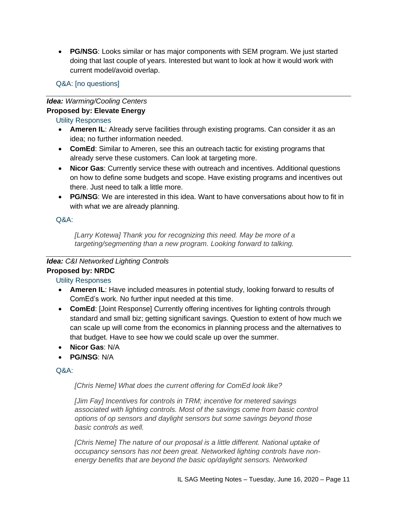• **PG/NSG**: Looks similar or has major components with SEM program. We just started doing that last couple of years. Interested but want to look at how it would work with current model/avoid overlap.

Q&A: [no questions]

### *Idea: Warming/Cooling Centers* **Proposed by: Elevate Energy**

# Utility Responses

- **Ameren IL**: Already serve facilities through existing programs. Can consider it as an idea; no further information needed.
- **ComEd**: Similar to Ameren, see this an outreach tactic for existing programs that already serve these customers. Can look at targeting more.
- **Nicor Gas**: Currently service these with outreach and incentives. Additional questions on how to define some budgets and scope. Have existing programs and incentives out there. Just need to talk a little more.
- **PG/NSG**: We are interested in this idea. Want to have conversations about how to fit in with what we are already planning.

# Q&A:

*[Larry Kotewa] Thank you for recognizing this need. May be more of a targeting/segmenting than a new program. Looking forward to talking.*

# *Idea: C&I Networked Lighting Controls* **Proposed by: NRDC**

Utility Responses

- **Ameren IL**: Have included measures in potential study, looking forward to results of ComEd's work. No further input needed at this time.
- **ComEd**: [Joint Response] Currently offering incentives for lighting controls through standard and small biz; getting significant savings. Question to extent of how much we can scale up will come from the economics in planning process and the alternatives to that budget. Have to see how we could scale up over the summer.
- **Nicor Gas**: N/A
- **PG/NSG**: N/A

# Q&A:

*[Chris Neme] What does the current offering for ComEd look like?*

*[Jim Fay] Incentives for controls in TRM; incentive for metered savings*  associated with lighting controls. Most of the savings come from basic control *options of op sensors and daylight sensors but some savings beyond those basic controls as well.*

*[Chris Neme] The nature of our proposal is a little different. National uptake of occupancy sensors has not been great. Networked lighting controls have nonenergy benefits that are beyond the basic op/daylight sensors. Networked*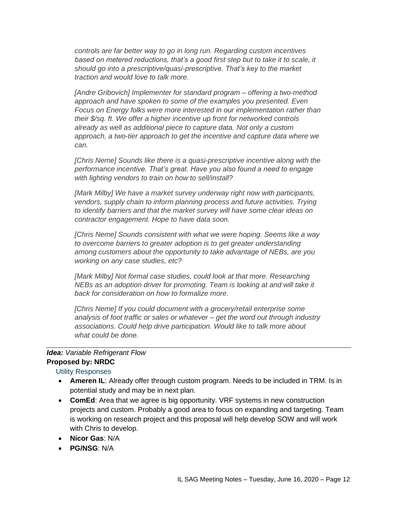*controls are far better way to go in long run. Regarding custom incentives based on metered reductions, that's a good first step but to take it to scale, it should go into a prescriptive/quasi-prescriptive. That's key to the market traction and would love to talk more.*

*[Andre Gribovich] Implementer for standard program – offering a two-method approach and have spoken to some of the examples you presented. Even Focus on Energy folks were more interested in our implementation rather than their \$/sq. ft. We offer a higher incentive up front for networked controls already as well as additional piece to capture data. Not only a custom approach, a two-tier approach to get the incentive and capture data where we can.*

*[Chris Neme] Sounds like there is a quasi-prescriptive incentive along with the performance incentive. That's great. Have you also found a need to engage with lighting vendors to train on how to sell/install?*

*[Mark Milby] We have a market survey underway right now with participants, vendors, supply chain to inform planning process and future activities. Trying to identify barriers and that the market survey will have some clear ideas on contractor engagement. Hope to have data soon.*

*[Chris Neme] Sounds consistent with what we were hoping. Seems like a way to overcome barriers to greater adoption is to get greater understanding among customers about the opportunity to take advantage of NEBs, are you working on any case studies, etc?*

*[Mark Milby] Not formal case studies, could look at that more. Researching NEBs as an adoption driver for promoting. Team is looking at and will take it back for consideration on how to formalize more.*

*[Chris Neme] If you could document with a grocery/retail enterprise some analysis of foot traffic or sales or whatever – get the word out through industry associations. Could help drive participation. Would like to talk more about what could be done.*

### *Idea: Variable Refrigerant Flow* **Proposed by: NRDC**

- **Ameren IL**: Already offer through custom program. Needs to be included in TRM. Is in potential study and may be in next plan.
- **ComEd**: Area that we agree is big opportunity. VRF systems in new construction projects and custom. Probably a good area to focus on expanding and targeting. Team is working on research project and this proposal will help develop SOW and will work with Chris to develop.
- **Nicor Gas**: N/A
- **PG/NSG**: N/A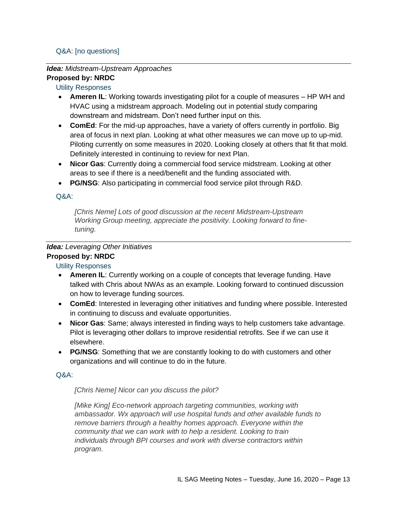# Q&A: [no questions]

# *Idea: Midstream-Upstream Approaches*

# **Proposed by: NRDC**

# Utility Responses

- **Ameren IL**: Working towards investigating pilot for a couple of measures HP WH and HVAC using a midstream approach. Modeling out in potential study comparing downstream and midstream. Don't need further input on this.
- **ComEd**: For the mid-up approaches, have a variety of offers currently in portfolio. Big area of focus in next plan. Looking at what other measures we can move up to up-mid. Piloting currently on some measures in 2020. Looking closely at others that fit that mold. Definitely interested in continuing to review for next Plan.
- **Nicor Gas**: Currently doing a commercial food service midstream. Looking at other areas to see if there is a need/benefit and the funding associated with.
- **PG/NSG**: Also participating in commercial food service pilot through R&D.

# Q&A:

*[Chris Neme] Lots of good discussion at the recent Midstream-Upstream Working Group meeting, appreciate the positivity. Looking forward to finetuning.*

# *Idea: Leveraging Other Initiatives*

# **Proposed by: NRDC**

# Utility Responses

- **Ameren IL**: Currently working on a couple of concepts that leverage funding. Have talked with Chris about NWAs as an example. Looking forward to continued discussion on how to leverage funding sources.
- **ComEd**: Interested in leveraging other initiatives and funding where possible. Interested in continuing to discuss and evaluate opportunities.
- **Nicor Gas**: Same; always interested in finding ways to help customers take advantage. Pilot is leveraging other dollars to improve residential retrofits. See if we can use it elsewhere.
- **PG/NSG**: Something that we are constantly looking to do with customers and other organizations and will continue to do in the future.

# Q&A:

# *[Chris Neme] Nicor can you discuss the pilot?*

*[Mike King] Eco-network approach targeting communities, working with ambassador. Wx approach will use hospital funds and other available funds to remove barriers through a healthy homes approach. Everyone within the community that we can work with to help a resident. Looking to train individuals through BPI courses and work with diverse contractors within program.*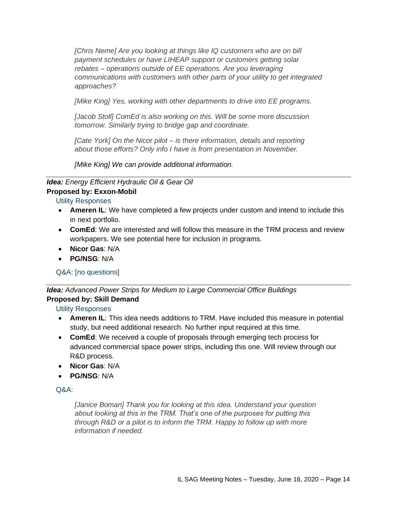*[Chris Neme] Are you looking at things like IQ customers who are on bill payment schedules or have LIHEAP support or customers getting solar rebates – operations outside of EE operations. Are you leveraging communications with customers with other parts of your utility to get integrated approaches?*

*[Mike King] Yes, working with other departments to drive into EE programs.*

*[Jacob Stoll] ComEd is also working on this. Will be some more discussion tomorrow. Similarly trying to bridge gap and coordinate.*

*[Cate York] On the Nicor pilot – is there information, details and reporting about those efforts? Only info I have is from presentation in November.*

*[Mike King] We can provide additional information.*

*Idea: Energy Efficient Hydraulic Oil & Gear Oil* **Proposed by: Exxon-Mobil**

Utility Responses

- **Ameren IL**: We have completed a few projects under custom and intend to include this in next portfolio.
- **ComEd**: We are interested and will follow this measure in the TRM process and review workpapers. We see potential here for inclusion in programs.
- **Nicor Gas**: N/A
- **PG/NSG**: N/A

Q&A: [no questions]

*Idea: Advanced Power Strips for Medium to Large Commercial Office Buildings* **Proposed by: Skill Demand**

Utility Responses

- **Ameren IL**: This idea needs additions to TRM. Have included this measure in potential study, but need additional research. No further input required at this time.
- **ComEd**: We received a couple of proposals through emerging tech process for advanced commercial space power strips, including this one. Will review through our R&D process.
- **Nicor Gas**: N/A
- **PG/NSG**: N/A

### $O\&A$

*[Janice Boman] Thank you for looking at this idea. Understand your question about looking at this in the TRM. That's one of the purposes for putting this through R&D or a pilot is to inform the TRM. Happy to follow up with more information if needed.*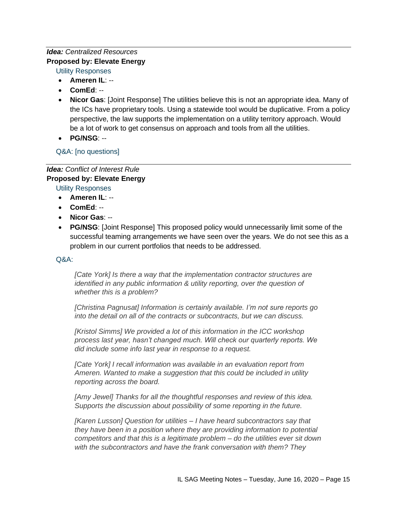# *Idea: Centralized Resources* **Proposed by: Elevate Energy**

Utility Responses

- **Ameren IL**: --
- **ComEd**: --
- **Nicor Gas**: [Joint Response] The utilities believe this is not an appropriate idea. Many of the ICs have proprietary tools. Using a statewide tool would be duplicative. From a policy perspective, the law supports the implementation on a utility territory approach. Would be a lot of work to get consensus on approach and tools from all the utilities.
- **PG/NSG**: --

Q&A: [no questions]

### *Idea: Conflict of Interest Rule* **Proposed by: Elevate Energy**

Utility Responses

- **Ameren IL**: --
- **ComEd**: --
- **Nicor Gas**: --
- **PG/NSG**: [Joint Response] This proposed policy would unnecessarily limit some of the successful teaming arrangements we have seen over the years. We do not see this as a problem in our current portfolios that needs to be addressed.

# Q&A:

*[Cate York] Is there a way that the implementation contractor structures are identified in any public information & utility reporting, over the question of whether this is a problem?*

*[Christina Pagnusat] Information is certainly available. I'm not sure reports go into the detail on all of the contracts or subcontracts, but we can discuss.*

*[Kristol Simms] We provided a lot of this information in the ICC workshop process last year, hasn't changed much. Will check our quarterly reports. We did include some info last year in response to a request.*

*[Cate York] I recall information was available in an evaluation report from Ameren. Wanted to make a suggestion that this could be included in utility reporting across the board.*

*[Amy Jewel] Thanks for all the thoughtful responses and review of this idea. Supports the discussion about possibility of some reporting in the future.*

*[Karen Lusson] Question for utilities – I have heard subcontractors say that they have been in a position where they are providing information to potential competitors and that this is a legitimate problem – do the utilities ever sit down with the subcontractors and have the frank conversation with them? They*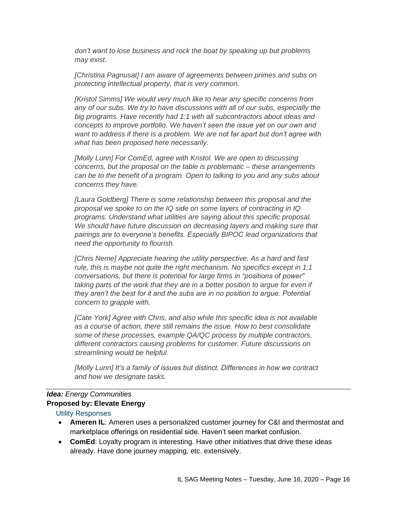*don't want to lose business and rock the boat by speaking up but problems may exist.*

*[Christina Pagnusat] I am aware of agreements between primes and subs on protecting intellectual property, that is very common.*

*[Kristol Simms] We would very much like to hear any specific concerns from any of our subs. We try to have discussions with all of our subs, especially the big programs. Have recently had 1:1 with all subcontractors about ideas and concepts to improve portfolio. We haven't seen the issue yet on our own and want to address if there is a problem. We are not far apart but don't agree with what has been proposed here necessarily.*

*[Molly Lunn] For ComEd, agree with Kristol. We are open to discussing concerns, but the proposal on the table is problematic – these arrangements can be to the benefit of a program. Open to talking to you and any subs about concerns they have.* 

*[Laura Goldberg] There is some relationship between this proposal and the proposal we spoke to on the IQ side on some layers of contracting in IQ programs. Understand what utilities are saying about this specific proposal. We should have future discussion on decreasing layers and making sure that pairings are to everyone's benefits. Especially BIPOC lead organizations that need the opportunity to flourish.*

*[Chris Neme] Appreciate hearing the utility perspective. As a hard and fast rule, this is maybe not quite the right mechanism. No specifics except in 1:1 conversations, but there is potential for large firms in "positions of power" taking parts of the work that they are in a better position to argue for even if they aren't the best for it and the subs are in no position to argue. Potential concern to grapple with.*

*[Cate York] Agree with Chris, and also while this specific idea is not available as a course of action, there still remains the issue. How to best consolidate some of these processes, example QA/QC process by multiple contractors, different contractors causing problems for customer. Future discussions on streamlining would be helpful.*

*[Molly Lunn] It's a family of issues but distinct. Differences in how we contract and how we designate tasks.* 

# *Idea: Energy Communities* **Proposed by: Elevate Energy**

- **Ameren IL**: Ameren uses a personalized customer journey for C&I and thermostat and marketplace offerings on residential side. Haven't seen market confusion.
- **ComEd**: Loyalty program is interesting. Have other initiatives that drive these ideas already. Have done journey mapping, etc. extensively.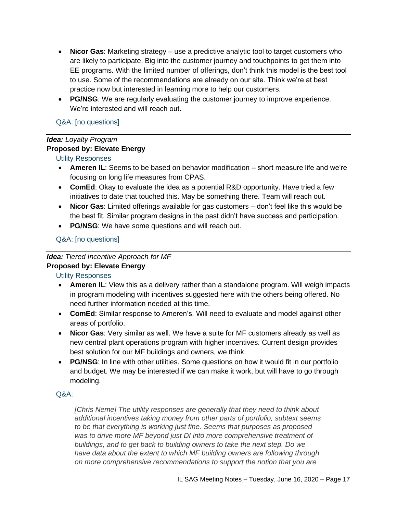- **Nicor Gas**: Marketing strategy use a predictive analytic tool to target customers who are likely to participate. Big into the customer journey and touchpoints to get them into EE programs. With the limited number of offerings, don't think this model is the best tool to use. Some of the recommendations are already on our site. Think we're at best practice now but interested in learning more to help our customers.
- **PG/NSG**: We are regularly evaluating the customer journey to improve experience. We're interested and will reach out.

# Q&A: [no questions]

# *Idea: Loyalty Program*

# **Proposed by: Elevate Energy**

Utility Responses

- **Ameren IL**: Seems to be based on behavior modification short measure life and we're focusing on long life measures from CPAS.
- **ComEd**: Okay to evaluate the idea as a potential R&D opportunity. Have tried a few initiatives to date that touched this. May be something there. Team will reach out.
- **Nicor Gas**: Limited offerings available for gas customers don't feel like this would be the best fit. Similar program designs in the past didn't have success and participation.
- **PG/NSG**: We have some questions and will reach out.

# Q&A: [no questions]

### *Idea: Tiered Incentive Approach for MF* **Proposed by: Elevate Energy**

Utility Responses

- **Ameren IL**: View this as a delivery rather than a standalone program. Will weigh impacts in program modeling with incentives suggested here with the others being offered. No need further information needed at this time.
- **ComEd**: Similar response to Ameren's. Will need to evaluate and model against other areas of portfolio.
- **Nicor Gas**: Very similar as well. We have a suite for MF customers already as well as new central plant operations program with higher incentives. Current design provides best solution for our MF buildings and owners, we think.
- **PG/NSG**: In line with other utilities. Some questions on how it would fit in our portfolio and budget. We may be interested if we can make it work, but will have to go through modeling.

# Q&A:

*[Chris Neme] The utility responses are generally that they need to think about additional incentives taking money from other parts of portfolio; subtext seems to be that everything is working just fine. Seems that purposes as proposed was to drive more MF beyond just DI into more comprehensive treatment of buildings, and to get back to building owners to take the next step. Do we have data about the extent to which MF building owners are following through on more comprehensive recommendations to support the notion that you are*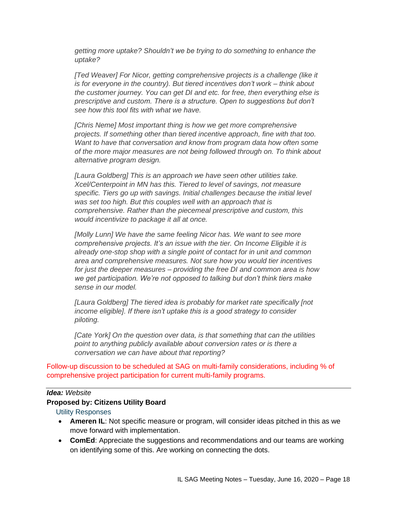*getting more uptake? Shouldn't we be trying to do something to enhance the uptake?*

*[Ted Weaver] For Nicor, getting comprehensive projects is a challenge (like it is for everyone in the country). But tiered incentives don't work – think about the customer journey. You can get DI and etc. for free, then everything else is prescriptive and custom. There is a structure. Open to suggestions but don't see how this tool fits with what we have.* 

*[Chris Neme] Most important thing is how we get more comprehensive projects. If something other than tiered incentive approach, fine with that too. Want to have that conversation and know from program data how often some of the more major measures are not being followed through on. To think about alternative program design.*

*[Laura Goldberg] This is an approach we have seen other utilities take. Xcel/Centerpoint in MN has this. Tiered to level of savings, not measure specific. Tiers go up with savings. Initial challenges because the initial level was set too high. But this couples well with an approach that is comprehensive. Rather than the piecemeal prescriptive and custom, this would incentivize to package it all at once.*

*[Molly Lunn] We have the same feeling Nicor has. We want to see more comprehensive projects. It's an issue with the tier. On Income Eligible it is already one-stop shop with a single point of contact for in unit and common area and comprehensive measures. Not sure how you would tier incentives for just the deeper measures – providing the free DI and common area is how we get participation. We're not opposed to talking but don't think tiers make sense in our model.*

*[Laura Goldberg] The tiered idea is probably for market rate specifically [not income eligible]. If there isn't uptake this is a good strategy to consider piloting.*

*[Cate York] On the question over data, is that something that can the utilities point to anything publicly available about conversion rates or is there a conversation we can have about that reporting?*

Follow-up discussion to be scheduled at SAG on multi-family considerations, including % of comprehensive project participation for current multi-family programs.

#### *Idea: Website*

#### **Proposed by: Citizens Utility Board**

- **Ameren IL**: Not specific measure or program, will consider ideas pitched in this as we move forward with implementation.
- **ComEd**: Appreciate the suggestions and recommendations and our teams are working on identifying some of this. Are working on connecting the dots.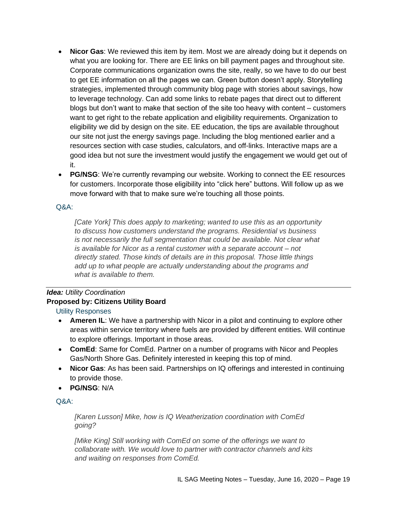- **Nicor Gas**: We reviewed this item by item. Most we are already doing but it depends on what you are looking for. There are EE links on bill payment pages and throughout site. Corporate communications organization owns the site, really, so we have to do our best to get EE information on all the pages we can. Green button doesn't apply. Storytelling strategies, implemented through community blog page with stories about savings, how to leverage technology. Can add some links to rebate pages that direct out to different blogs but don't want to make that section of the site too heavy with content – customers want to get right to the rebate application and eligibility requirements. Organization to eligibility we did by design on the site. EE education, the tips are available throughout our site not just the energy savings page. Including the blog mentioned earlier and a resources section with case studies, calculators, and off-links. Interactive maps are a good idea but not sure the investment would justify the engagement we would get out of it.
- **PG/NSG**: We're currently revamping our website. Working to connect the EE resources for customers. Incorporate those eligibility into "click here" buttons. Will follow up as we move forward with that to make sure we're touching all those points.

*[Cate York] This does apply to marketing; wanted to use this as an opportunity to discuss how customers understand the programs. Residential vs business is not necessarily the full segmentation that could be available. Not clear what is available for Nicor as a rental customer with a separate account – not directly stated. Those kinds of details are in this proposal. Those little things add up to what people are actually understanding about the programs and what is available to them.* 

# *Idea: Utility Coordination* **Proposed by: Citizens Utility Board**

# Utility Responses

- **Ameren IL**: We have a partnership with Nicor in a pilot and continuing to explore other areas within service territory where fuels are provided by different entities. Will continue to explore offerings. Important in those areas.
- **ComEd**: Same for ComEd. Partner on a number of programs with Nicor and Peoples Gas/North Shore Gas. Definitely interested in keeping this top of mind.
- **Nicor Gas**: As has been said. Partnerships on IQ offerings and interested in continuing to provide those.
- **PG/NSG**: N/A

### Q&A:

*[Karen Lusson] Mike, how is IQ Weatherization coordination with ComEd going?*

*[Mike King] Still working with ComEd on some of the offerings we want to collaborate with. We would love to partner with contractor channels and kits and waiting on responses from ComEd.*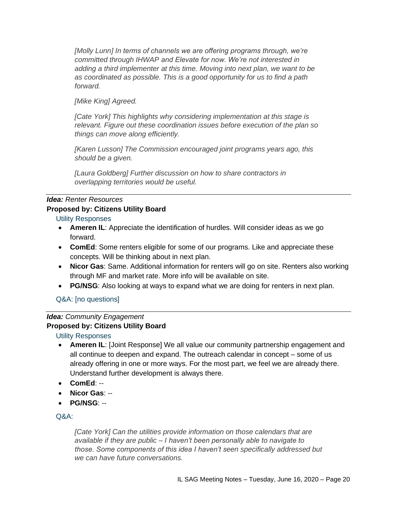*[Molly Lunn] In terms of channels we are offering programs through, we're committed through IHWAP and Elevate for now. We're not interested in adding a third implementer at this time. Moving into next plan, we want to be as coordinated as possible. This is a good opportunity for us to find a path forward.*

*[Mike King] Agreed.*

*[Cate York] This highlights why considering implementation at this stage is relevant. Figure out these coordination issues before execution of the plan so things can move along efficiently.*

*[Karen Lusson] The Commission encouraged joint programs years ago, this should be a given.*

*[Laura Goldberg] Further discussion on how to share contractors in overlapping territories would be useful.*

# *Idea: Renter Resources* **Proposed by: Citizens Utility Board**

# Utility Responses

- **Ameren IL**: Appreciate the identification of hurdles. Will consider ideas as we go forward.
- **ComEd**: Some renters eligible for some of our programs. Like and appreciate these concepts. Will be thinking about in next plan.
- **Nicor Gas**: Same. Additional information for renters will go on site. Renters also working through MF and market rate. More info will be available on site.
- **PG/NSG**: Also looking at ways to expand what we are doing for renters in next plan.

# Q&A: [no questions]

#### *Idea: Community Engagement* **Proposed by: Citizens Utility Board**

Utility Responses

- **Ameren IL**: [Joint Response] We all value our community partnership engagement and all continue to deepen and expand. The outreach calendar in concept – some of us already offering in one or more ways. For the most part, we feel we are already there. Understand further development is always there.
- **ComEd**: --
- **Nicor Gas**: --
- **PG/NSG**: --

# Q&A:

*[Cate York] Can the utilities provide information on those calendars that are available if they are public – I haven't been personally able to navigate to those. Some components of this idea I haven't seen specifically addressed but we can have future conversations.*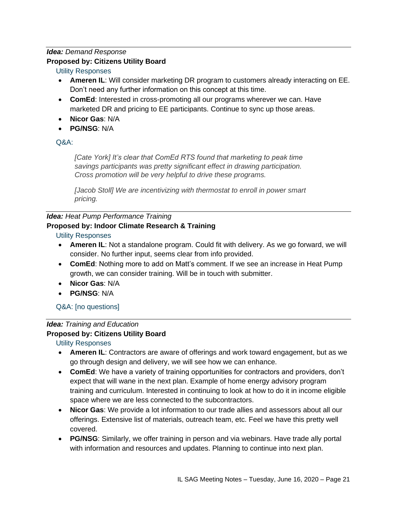# *Idea: Demand Response*

# **Proposed by: Citizens Utility Board**

# Utility Responses

- **Ameren IL**: Will consider marketing DR program to customers already interacting on EE. Don't need any further information on this concept at this time.
- **ComEd**: Interested in cross-promoting all our programs wherever we can. Have marketed DR and pricing to EE participants. Continue to sync up those areas.
- **Nicor Gas**: N/A
- **PG/NSG**: N/A

# $O\&A$

*[Cate York] It's clear that ComEd RTS found that marketing to peak time savings participants was pretty significant effect in drawing participation. Cross promotion will be very helpful to drive these programs.*

*[Jacob Stoll] We are incentivizing with thermostat to enroll in power smart pricing.*

# *Idea: Heat Pump Performance Training*

# **Proposed by: Indoor Climate Research & Training**

# Utility Responses

- **Ameren IL**: Not a standalone program. Could fit with delivery. As we go forward, we will consider. No further input, seems clear from info provided.
- **ComEd**: Nothing more to add on Matt's comment. If we see an increase in Heat Pump growth, we can consider training. Will be in touch with submitter.
- **Nicor Gas**: N/A
- **PG/NSG**: N/A

# Q&A: [no questions]

# *Idea: Training and Education*

# **Proposed by: Citizens Utility Board**

- **Ameren IL**: Contractors are aware of offerings and work toward engagement, but as we go through design and delivery, we will see how we can enhance.
- **ComEd**: We have a variety of training opportunities for contractors and providers, don't expect that will wane in the next plan. Example of home energy advisory program training and curriculum. Interested in continuing to look at how to do it in income eligible space where we are less connected to the subcontractors.
- **Nicor Gas**: We provide a lot information to our trade allies and assessors about all our offerings. Extensive list of materials, outreach team, etc. Feel we have this pretty well covered.
- **PG/NSG**: Similarly, we offer training in person and via webinars. Have trade ally portal with information and resources and updates. Planning to continue into next plan.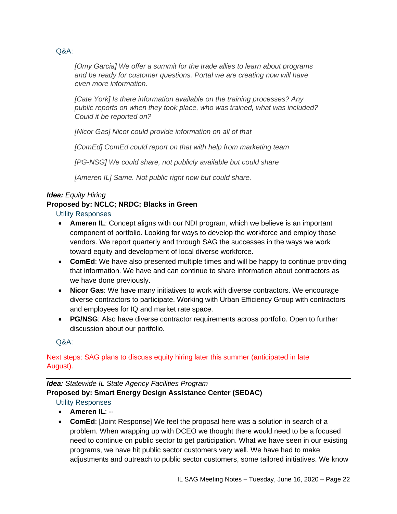*[Omy Garcia] We offer a summit for the trade allies to learn about programs and be ready for customer questions. Portal we are creating now will have even more information.*

*[Cate York] Is there information available on the training processes? Any public reports on when they took place, who was trained, what was included? Could it be reported on?*

*[Nicor Gas] Nicor could provide information on all of that*

*[ComEd] ComEd could report on that with help from marketing team*

*[PG-NSG] We could share, not publicly available but could share*

*[Ameren IL] Same. Not public right now but could share.*

# *Idea: Equity Hiring*

# **Proposed by: NCLC; NRDC; Blacks in Green**

Utility Responses

- **Ameren IL**: Concept aligns with our NDI program, which we believe is an important component of portfolio. Looking for ways to develop the workforce and employ those vendors. We report quarterly and through SAG the successes in the ways we work toward equity and development of local diverse workforce.
- **ComEd**: We have also presented multiple times and will be happy to continue providing that information. We have and can continue to share information about contractors as we have done previously.
- **Nicor Gas**: We have many initiatives to work with diverse contractors. We encourage diverse contractors to participate. Working with Urban Efficiency Group with contractors and employees for IQ and market rate space.
- **PG/NSG**: Also have diverse contractor requirements across portfolio. Open to further discussion about our portfolio.

Q&A:

# Next steps: SAG plans to discuss equity hiring later this summer (anticipated in late August).

# *Idea: Statewide IL State Agency Facilities Program*  **Proposed by: Smart Energy Design Assistance Center (SEDAC)**

- **Ameren IL**: --
- **ComEd**: [Joint Response] We feel the proposal here was a solution in search of a problem. When wrapping up with DCEO we thought there would need to be a focused need to continue on public sector to get participation. What we have seen in our existing programs, we have hit public sector customers very well. We have had to make adjustments and outreach to public sector customers, some tailored initiatives. We know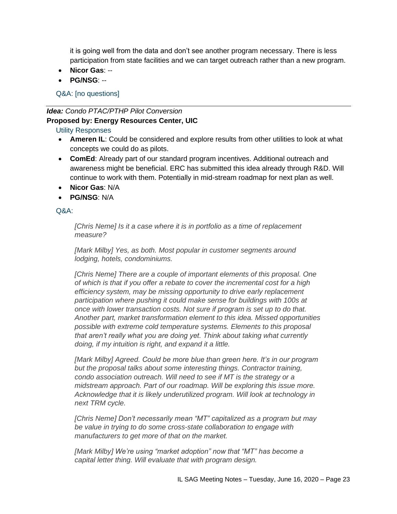it is going well from the data and don't see another program necessary. There is less participation from state facilities and we can target outreach rather than a new program.

- **Nicor Gas**: --
- **PG/NSG**: --

Q&A: [no questions]

# *Idea: Condo PTAC/PTHP Pilot Conversion* **Proposed by: Energy Resources Center, UIC**

# Utility Responses

- **Ameren IL**: Could be considered and explore results from other utilities to look at what concepts we could do as pilots.
- **ComEd**: Already part of our standard program incentives. Additional outreach and awareness might be beneficial. ERC has submitted this idea already through R&D. Will continue to work with them. Potentially in mid-stream roadmap for next plan as well.
- **Nicor Gas**: N/A
- **PG/NSG**: N/A

# $O\&A$

*[Chris Neme] Is it a case where it is in portfolio as a time of replacement measure?*

*[Mark Milby] Yes, as both. Most popular in customer segments around lodging, hotels, condominiums.*

*[Chris Neme] There are a couple of important elements of this proposal. One of which is that if you offer a rebate to cover the incremental cost for a high efficiency system, may be missing opportunity to drive early replacement participation where pushing it could make sense for buildings with 100s at once with lower transaction costs. Not sure if program is set up to do that. Another part, market transformation element to this idea. Missed opportunities possible with extreme cold temperature systems. Elements to this proposal that aren't really what you are doing yet. Think about taking what currently doing, if my intuition is right, and expand it a little.*

*[Mark Milby] Agreed. Could be more blue than green here. It's in our program but the proposal talks about some interesting things. Contractor training, condo association outreach. Will need to see if MT is the strategy or a midstream approach. Part of our roadmap. Will be exploring this issue more. Acknowledge that it is likely underutilized program. Will look at technology in next TRM cycle.*

*[Chris Neme] Don't necessarily mean "MT" capitalized as a program but may be value in trying to do some cross-state collaboration to engage with manufacturers to get more of that on the market.* 

*[Mark Milby] We're using "market adoption" now that "MT" has become a capital letter thing. Will evaluate that with program design.*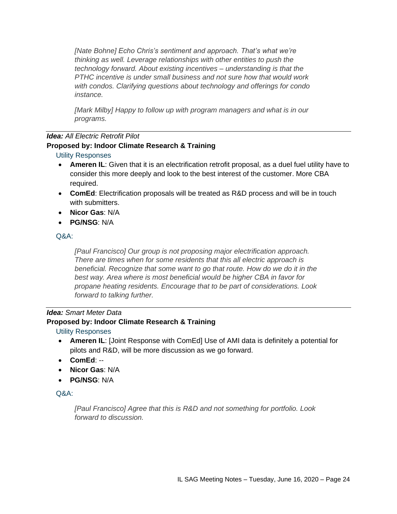*[Nate Bohne] Echo Chris's sentiment and approach. That's what we're thinking as well. Leverage relationships with other entities to push the technology forward. About existing incentives – understanding is that the PTHC incentive is under small business and not sure how that would work with condos. Clarifying questions about technology and offerings for condo instance.*

*[Mark Milby] Happy to follow up with program managers and what is in our programs.*

# *Idea: All Electric Retrofit Pilot*

# **Proposed by: Indoor Climate Research & Training**

# Utility Responses

- **Ameren IL**: Given that it is an electrification retrofit proposal, as a duel fuel utility have to consider this more deeply and look to the best interest of the customer. More CBA required.
- **ComEd**: Electrification proposals will be treated as R&D process and will be in touch with submitters.
- **Nicor Gas**: N/A
- **PG/NSG**: N/A

Q&A:

*[Paul Francisco] Our group is not proposing major electrification approach. There are times when for some residents that this all electric approach is beneficial. Recognize that some want to go that route. How do we do it in the best way. Area where is most beneficial would be higher CBA in favor for propane heating residents. Encourage that to be part of considerations. Look forward to talking further.*

# *Idea: Smart Meter Data*

# **Proposed by: Indoor Climate Research & Training**

# Utility Responses

- **Ameren IL**: [Joint Response with ComEd] Use of AMI data is definitely a potential for pilots and R&D, will be more discussion as we go forward.
- **ComEd**: --
- **Nicor Gas**: N/A
- **PG/NSG**: N/A

# Q&A:

*[Paul Francisco] Agree that this is R&D and not something for portfolio. Look forward to discussion.*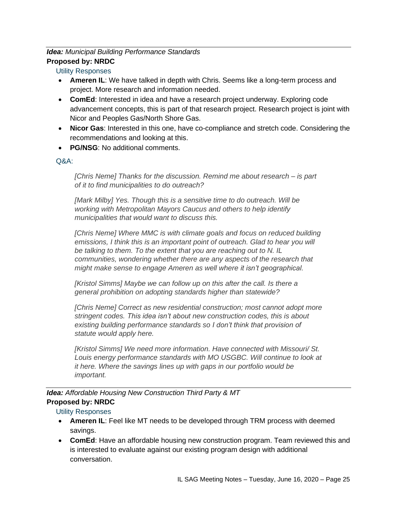# *Idea: Municipal Building Performance Standards* **Proposed by: NRDC**

# Utility Responses

- **Ameren IL**: We have talked in depth with Chris. Seems like a long-term process and project. More research and information needed.
- **ComEd**: Interested in idea and have a research project underway. Exploring code advancement concepts, this is part of that research project. Research project is joint with Nicor and Peoples Gas/North Shore Gas.
- **Nicor Gas**: Interested in this one, have co-compliance and stretch code. Considering the recommendations and looking at this.
- **PG/NSG**: No additional comments.

Q&A:

*[Chris Neme] Thanks for the discussion. Remind me about research – is part of it to find municipalities to do outreach?*

*[Mark Milby] Yes. Though this is a sensitive time to do outreach. Will be working with Metropolitan Mayors Caucus and others to help identify municipalities that would want to discuss this.*

*[Chris Neme] Where MMC is with climate goals and focus on reduced building*  emissions, I think this is an important point of outreach. Glad to hear you will be talking to them. To the extent that you are reaching out to N. IL *communities, wondering whether there are any aspects of the research that might make sense to engage Ameren as well where it isn't geographical.*

*[Kristol Simms] Maybe we can follow up on this after the call. Is there a general prohibition on adopting standards higher than statewide?*

*[Chris Neme] Correct as new residential construction; most cannot adopt more stringent codes. This idea isn't about new construction codes, this is about existing building performance standards so I don't think that provision of statute would apply here.*

*[Kristol Simms] We need more information. Have connected with Missouri/ St. Louis energy performance standards with MO USGBC. Will continue to look at it here. Where the savings lines up with gaps in our portfolio would be important.* 

*Idea: Affordable Housing New Construction Third Party & MT* **Proposed by: NRDC**

- **Ameren IL**: Feel like MT needs to be developed through TRM process with deemed savings.
- **ComEd**: Have an affordable housing new construction program. Team reviewed this and is interested to evaluate against our existing program design with additional conversation.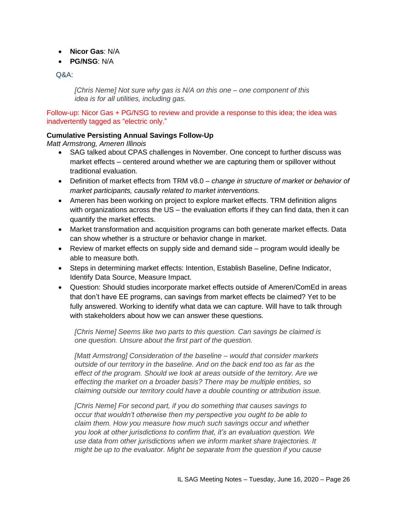- **Nicor Gas**: N/A
- **PG/NSG**: N/A

*[Chris Neme] Not sure why gas is N/A on this one – one component of this idea is for all utilities, including gas.*

Follow-up: Nicor Gas + PG/NSG to review and provide a response to this idea; the idea was inadvertently tagged as "electric only."

### **Cumulative Persisting Annual Savings Follow-Up**

*Matt Armstrong, Ameren Illinois*

- SAG talked about CPAS challenges in November. One concept to further discuss was market effects – centered around whether we are capturing them or spillover without traditional evaluation.
- Definition of market effects from TRM v8.0 *change in structure of market or behavior of market participants, causally related to market interventions.*
- Ameren has been working on project to explore market effects. TRM definition aligns with organizations across the US – the evaluation efforts if they can find data, then it can quantify the market effects.
- Market transformation and acquisition programs can both generate market effects. Data can show whether is a structure or behavior change in market.
- Review of market effects on supply side and demand side program would ideally be able to measure both.
- Steps in determining market effects: Intention, Establish Baseline, Define Indicator, Identify Data Source, Measure Impact.
- Question: Should studies incorporate market effects outside of Ameren/ComEd in areas that don't have EE programs, can savings from market effects be claimed? Yet to be fully answered. Working to identify what data we can capture. Will have to talk through with stakeholders about how we can answer these questions.

*[Chris Neme] Seems like two parts to this question. Can savings be claimed is one question. Unsure about the first part of the question.*

*[Matt Armstrong] Consideration of the baseline – would that consider markets outside of our territory in the baseline. And on the back end too as far as the effect of the program. Should we look at areas outside of the territory. Are we effecting the market on a broader basis? There may be multiple entities, so claiming outside our territory could have a double counting or attribution issue.*

*[Chris Neme] For second part, if you do something that causes savings to occur that wouldn't otherwise then my perspective you ought to be able to claim them. How you measure how much such savings occur and whether you look at other jurisdictions to confirm that, it's an evaluation question. We use data from other jurisdictions when we inform market share trajectories. It might be up to the evaluator. Might be separate from the question if you cause*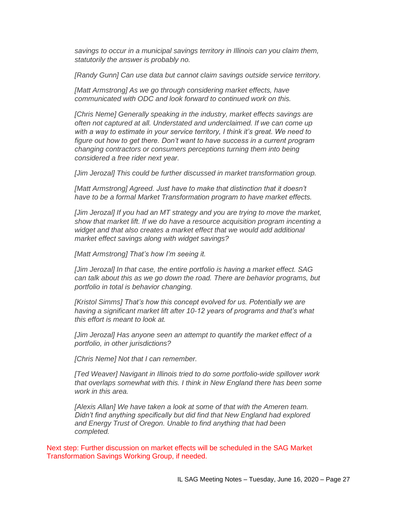*savings to occur in a municipal savings territory in Illinois can you claim them, statutorily the answer is probably no.*

*[Randy Gunn] Can use data but cannot claim savings outside service territory.* 

*[Matt Armstrong] As we go through considering market effects, have communicated with ODC and look forward to continued work on this.*

*[Chris Neme] Generally speaking in the industry, market effects savings are often not captured at all. Understated and underclaimed. If we can come up* with a way to estimate in your service territory, I think it's great. We need to *figure out how to get there. Don't want to have success in a current program changing contractors or consumers perceptions turning them into being considered a free rider next year.*

*[Jim Jerozal] This could be further discussed in market transformation group.*

*[Matt Armstrong] Agreed. Just have to make that distinction that it doesn't have to be a formal Market Transformation program to have market effects.*

*[Jim Jerozal] If you had an MT strategy and you are trying to move the market, show that market lift. If we do have a resource acquisition program incenting a widget and that also creates a market effect that we would add additional market effect savings along with widget savings?*

*[Matt Armstrong] That's how I'm seeing it.*

*[Jim Jerozal] In that case, the entire portfolio is having a market effect. SAG can talk about this as we go down the road. There are behavior programs, but portfolio in total is behavior changing.*

*[Kristol Simms] That's how this concept evolved for us. Potentially we are having a significant market lift after 10-12 years of programs and that's what this effort is meant to look at.*

*[Jim Jerozal] Has anyone seen an attempt to quantify the market effect of a portfolio, in other jurisdictions?*

*[Chris Neme] Not that I can remember.*

*[Ted Weaver] Navigant in Illinois tried to do some portfolio-wide spillover work that overlaps somewhat with this. I think in New England there has been some work in this area.*

*[Alexis Allan] We have taken a look at some of that with the Ameren team. Didn't find anything specifically but did find that New England had explored and Energy Trust of Oregon. Unable to find anything that had been completed.*

Next step: Further discussion on market effects will be scheduled in the SAG Market Transformation Savings Working Group, if needed.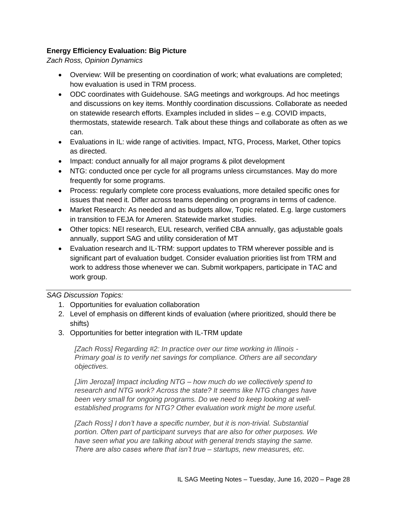# **Energy Efficiency Evaluation: Big Picture**

*Zach Ross, Opinion Dynamics*

- Overview: Will be presenting on coordination of work; what evaluations are completed; how evaluation is used in TRM process.
- ODC coordinates with Guidehouse. SAG meetings and workgroups. Ad hoc meetings and discussions on key items. Monthly coordination discussions. Collaborate as needed on statewide research efforts. Examples included in slides – e.g. COVID impacts, thermostats, statewide research. Talk about these things and collaborate as often as we can.
- Evaluations in IL: wide range of activities. Impact, NTG, Process, Market, Other topics as directed.
- Impact: conduct annually for all major programs & pilot development
- NTG: conducted once per cycle for all programs unless circumstances. May do more frequently for some programs.
- Process: regularly complete core process evaluations, more detailed specific ones for issues that need it. Differ across teams depending on programs in terms of cadence.
- Market Research: As needed and as budgets allow, Topic related. E.g. large customers in transition to FEJA for Ameren. Statewide market studies.
- Other topics: NEI research, EUL research, verified CBA annually, gas adjustable goals annually, support SAG and utility consideration of MT
- Evaluation research and IL-TRM: support updates to TRM wherever possible and is significant part of evaluation budget. Consider evaluation priorities list from TRM and work to address those whenever we can. Submit workpapers, participate in TAC and work group.

### *SAG Discussion Topics:*

- 1. Opportunities for evaluation collaboration
- 2. Level of emphasis on different kinds of evaluation (where prioritized, should there be shifts)
- 3. Opportunities for better integration with IL-TRM update

*[Zach Ross] Regarding #2: In practice over our time working in Illinois - Primary goal is to verify net savings for compliance. Others are all secondary objectives.* 

*[Jim Jerozal] Impact including NTG – how much do we collectively spend to research and NTG work? Across the state? It seems like NTG changes have been very small for ongoing programs. Do we need to keep looking at wellestablished programs for NTG? Other evaluation work might be more useful.*

*[Zach Ross] I don't have a specific number, but it is non-trivial. Substantial portion. Often part of participant surveys that are also for other purposes. We have seen what you are talking about with general trends staying the same. There are also cases where that isn't true – startups, new measures, etc.*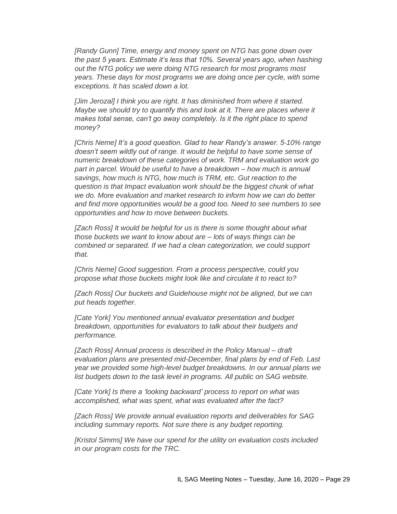*[Randy Gunn] Time, energy and money spent on NTG has gone down over the past 5 years. Estimate it's less that 10%. Several years ago, when hashing out the NTG policy we were doing NTG research for most programs most years. These days for most programs we are doing once per cycle, with some exceptions. It has scaled down a lot.*

*[Jim Jerozal] I think you are right. It has diminished from where it started. Maybe we should try to quantify this and look at it. There are places where it makes total sense, can't go away completely. Is it the right place to spend money?*

*[Chris Neme] It's a good question. Glad to hear Randy's answer. 5-10% range doesn't seem wildly out of range. It would be helpful to have some sense of numeric breakdown of these categories of work. TRM and evaluation work go part in parcel. Would be useful to have a breakdown – how much is annual savings, how much is NTG, how much is TRM, etc. Gut reaction to the question is that Impact evaluation work should be the biggest chunk of what we do. More evaluation and market research to inform how we can do better and find more opportunities would be a good too. Need to see numbers to see opportunities and how to move between buckets.*

*[Zach Ross] It would be helpful for us is there is some thought about what those buckets we want to know about are – lots of ways things can be combined or separated. If we had a clean categorization, we could support that.*

*[Chris Neme] Good suggestion. From a process perspective, could you propose what those buckets might look like and circulate it to react to?*

*[Zach Ross] Our buckets and Guidehouse might not be aligned, but we can put heads together.*

*[Cate York] You mentioned annual evaluator presentation and budget breakdown, opportunities for evaluators to talk about their budgets and performance.*

*[Zach Ross] Annual process is described in the Policy Manual – draft evaluation plans are presented mid-December, final plans by end of Feb. Last year we provided some high-level budget breakdowns. In our annual plans we list budgets down to the task level in programs. All public on SAG website.*

*[Cate York] Is there a 'looking backward' process to report on what was accomplished, what was spent, what was evaluated after the fact?*

*[Zach Ross] We provide annual evaluation reports and deliverables for SAG including summary reports. Not sure there is any budget reporting.*

*[Kristol Simms] We have our spend for the utility on evaluation costs included in our program costs for the TRC.*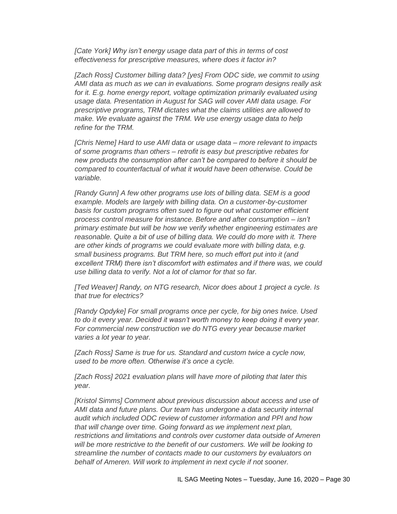*[Cate York] Why isn't energy usage data part of this in terms of cost effectiveness for prescriptive measures, where does it factor in?*

*[Zach Ross] Customer billing data? [yes] From ODC side, we commit to using AMI data as much as we can in evaluations. Some program designs really ask*  for it. E.g. home energy report, voltage optimization primarily evaluated using *usage data. Presentation in August for SAG will cover AMI data usage. For prescriptive programs, TRM dictates what the claims utilities are allowed to make. We evaluate against the TRM. We use energy usage data to help refine for the TRM.*

*[Chris Neme] Hard to use AMI data or usage data – more relevant to impacts of some programs than others – retrofit is easy but prescriptive rebates for new products the consumption after can't be compared to before it should be compared to counterfactual of what it would have been otherwise. Could be variable.*

*[Randy Gunn] A few other programs use lots of billing data. SEM is a good example. Models are largely with billing data. On a customer-by-customer basis for custom programs often sued to figure out what customer efficient process control measure for instance. Before and after consumption – isn't primary estimate but will be how we verify whether engineering estimates are reasonable. Quite a bit of use of billing data. We could do more with it. There are other kinds of programs we could evaluate more with billing data, e.g. small business programs. But TRM here, so much effort put into it (and excellent TRM) there isn't discomfort with estimates and if there was, we could use billing data to verify. Not a lot of clamor for that so far.*

*[Ted Weaver] Randy, on NTG research, Nicor does about 1 project a cycle. Is that true for electrics?*

*[Randy Opdyke] For small programs once per cycle, for big ones twice. Used to do it every year. Decided it wasn't worth money to keep doing it every year. For commercial new construction we do NTG every year because market varies a lot year to year.*

*[Zach Ross] Same is true for us. Standard and custom twice a cycle now, used to be more often. Otherwise it's once a cycle.* 

*[Zach Ross] 2021 evaluation plans will have more of piloting that later this year.*

*[Kristol Simms] Comment about previous discussion about access and use of AMI data and future plans. Our team has undergone a data security internal audit which included ODC review of customer information and PPI and how that will change over time. Going forward as we implement next plan, restrictions and limitations and controls over customer data outside of Ameren will be more restrictive to the benefit of our customers. We will be looking to streamline the number of contacts made to our customers by evaluators on behalf of Ameren. Will work to implement in next cycle if not sooner.*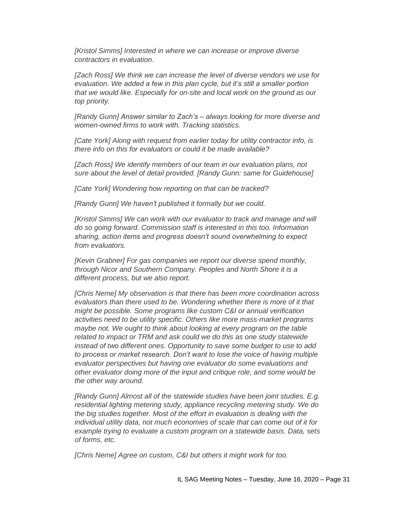*[Kristol Simms] Interested in where we can increase or improve diverse contractors in evaluation.*

*[Zach Ross] We think we can increase the level of diverse vendors we use for evaluation. We added a few in this plan cycle, but it's still a smaller portion that we would like. Especially for on-site and local work on the ground as our top priority.*

*[Randy Gunn] Answer similar to Zach's – always looking for more diverse and women-owned firms to work with. Tracking statistics.* 

*[Cate York] Along with request from earlier today for utility contractor info, is there info on this for evaluators or could it be made available?*

*[Zach Ross] We identify members of our team in our evaluation plans, not sure about the level of detail provided. [Randy Gunn: same for Guidehouse]*

*[Cate York] Wondering how reporting on that can be tracked?*

*[Randy Gunn] We haven't published it formally but we could.*

*[Kristol Simms] We can work with our evaluator to track and manage and will do so going forward. Commission staff is interested in this too. Information sharing, action items and progress doesn't sound overwhelming to expect from evaluators.*

*[Kevin Grabner] For gas companies we report our diverse spend monthly, through Nicor and Southern Company. Peoples and North Shore it is a different process, but we also report.*

*[Chris Neme] My observation is that there has been more coordination across evaluators than there used to be. Wondering whether there is more of it that might be possible. Some programs like custom C&I or annual verification activities need to be utility specific. Others like more mass-market programs maybe not. We ought to think about looking at every program on the table related to impact or TRM and ask could we do this as one study statewide instead of two different ones. Opportunity to save some budget to use to add to process or market research. Don't want to lose the voice of having multiple evaluator perspectives but having one evaluator do some evaluations and other evaluator doing more of the input and critique role, and some would be the other way around.* 

*[Randy Gunn] Almost all of the statewide studies have been joint studies. E.g. residential lighting metering study, appliance recycling metering study. We do the big studies together. Most of the effort in evaluation is dealing with the individual utility data, not much economies of scale that can come out of it for example trying to evaluate a custom program on a statewide basis. Data, sets of forms, etc.* 

*[Chris Neme] Agree on custom, C&I but others it might work for too.*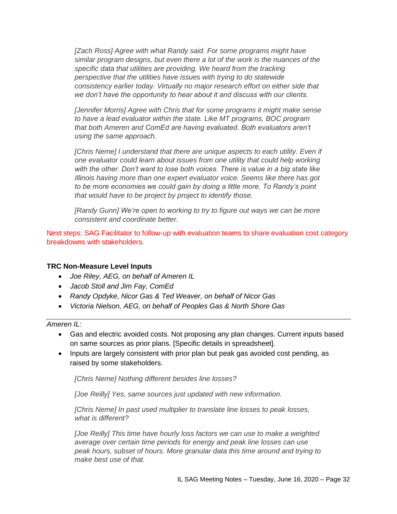*[Zach Ross] Agree with what Randy said. For some programs might have similar program designs, but even there a lot of the work is the nuances of the specific data that utilities are providing. We heard from the tracking perspective that the utilities have issues with trying to do statewide consistency earlier today. Virtually no major research effort on either side that we don't have the opportunity to hear about it and discuss with our clients.*

*[Jennifer Morris] Agree with Chris that for some programs it might make sense to have a lead evaluator within the state. Like MT programs, BOC program that both Ameren and ComEd are having evaluated. Both evaluators aren't using the same approach.* 

*[Chris Neme] I understand that there are unique aspects to each utility. Even if one evaluator could learn about issues from one utility that could help working with the other. Don't want to lose both voices. There is value in a big state like Illinois having more than one expert evaluator voice. Seems like there has got to be more economies we could gain by doing a little more. To Randy's point that would have to be project by project to identify those.*

*[Randy Gunn] We're open to working to try to figure out ways we can be more consistent and coordinate better.* 

Next steps: SAG Facilitator to follow-up with evaluation teams to share evaluation cost category breakdowns with stakeholders.

### **TRC Non-Measure Level Inputs**

- *Joe Riley, AEG, on behalf of Ameren IL*
- *Jacob Stoll and Jim Fay, ComEd*
- *Randy Opdyke, Nicor Gas & Ted Weaver, on behalf of Nicor Gas*
- *Victoria Nielson, AEG, on behalf of Peoples Gas & North Shore Gas*

*Ameren IL:*

- Gas and electric avoided costs. Not proposing any plan changes. Current inputs based on same sources as prior plans. [Specific details in spreadsheet].
- Inputs are largely consistent with prior plan but peak gas avoided cost pending, as raised by some stakeholders.

*[Chris Neme] Nothing different besides line losses?*

*[Joe Reilly] Yes, same sources just updated with new information.*

*[Chris Neme] In past used multiplier to translate line losses to peak losses, what is different?*

*[Joe Reilly] This time have hourly loss factors we can use to make a weighted average over certain time periods for energy and peak line losses can use peak hours, subset of hours. More granular data this time around and trying to make best use of that.*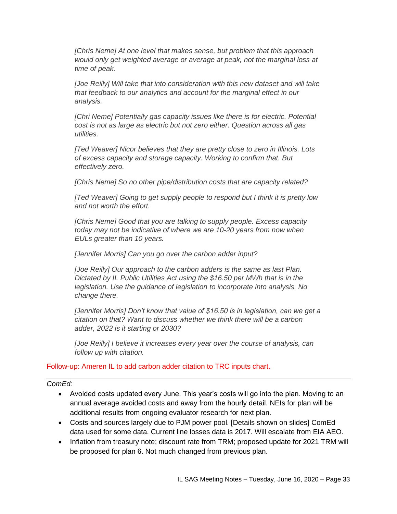*[Chris Neme] At one level that makes sense, but problem that this approach would only get weighted average or average at peak, not the marginal loss at time of peak.* 

*[Joe Reilly] Will take that into consideration with this new dataset and will take that feedback to our analytics and account for the marginal effect in our analysis.*

*[Chri Neme] Potentially gas capacity issues like there is for electric. Potential cost is not as large as electric but not zero either. Question across all gas utilities.*

*[Ted Weaver] Nicor believes that they are pretty close to zero in Illinois. Lots of excess capacity and storage capacity. Working to confirm that. But effectively zero.*

*[Chris Neme] So no other pipe/distribution costs that are capacity related?*

*[Ted Weaver] Going to get supply people to respond but I think it is pretty low and not worth the effort.*

*[Chris Neme] Good that you are talking to supply people. Excess capacity today may not be indicative of where we are 10-20 years from now when EULs greater than 10 years.*

*[Jennifer Morris] Can you go over the carbon adder input?*

*[Joe Reilly] Our approach to the carbon adders is the same as last Plan. Dictated by IL Public Utilities Act using the \$16.50 per MWh that is in the legislation. Use the guidance of legislation to incorporate into analysis. No change there.* 

*[Jennifer Morris] Don't know that value of \$16.50 is in legislation, can we get a citation on that? Want to discuss whether we think there will be a carbon adder, 2022 is it starting or 2030?*

*[Joe Reilly] I believe it increases every year over the course of analysis, can follow up with citation.*

Follow-up: Ameren IL to add carbon adder citation to TRC inputs chart.

#### *ComEd:*

- Avoided costs updated every June. This year's costs will go into the plan. Moving to an annual average avoided costs and away from the hourly detail. NEIs for plan will be additional results from ongoing evaluator research for next plan.
- Costs and sources largely due to PJM power pool. [Details shown on slides] ComEd data used for some data. Current line losses data is 2017. Will escalate from EIA AEO.
- Inflation from treasury note; discount rate from TRM; proposed update for 2021 TRM will be proposed for plan 6. Not much changed from previous plan.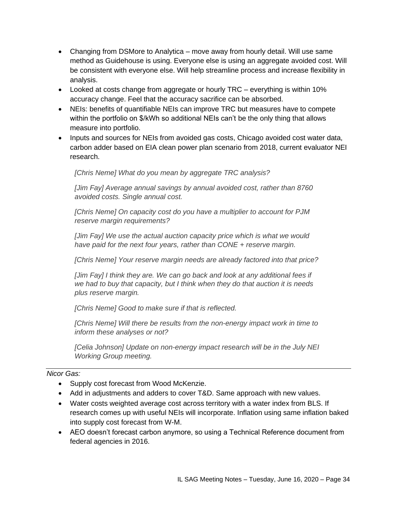- Changing from DSMore to Analytica move away from hourly detail. Will use same method as Guidehouse is using. Everyone else is using an aggregate avoided cost. Will be consistent with everyone else. Will help streamline process and increase flexibility in analysis.
- Looked at costs change from aggregate or hourly TRC everything is within 10% accuracy change. Feel that the accuracy sacrifice can be absorbed.
- NEIs: benefits of quantifiable NEIs can improve TRC but measures have to compete within the portfolio on \$/kWh so additional NEIs can't be the only thing that allows measure into portfolio.
- Inputs and sources for NEIs from avoided gas costs, Chicago avoided cost water data, carbon adder based on EIA clean power plan scenario from 2018, current evaluator NEI research.

*[Chris Neme] What do you mean by aggregate TRC analysis?*

*[Jim Fay] Average annual savings by annual avoided cost, rather than 8760 avoided costs. Single annual cost.*

*[Chris Neme] On capacity cost do you have a multiplier to account for PJM reserve margin requirements?*

*[Jim Fay] We use the actual auction capacity price which is what we would have paid for the next four years, rather than CONE + reserve margin.*

*[Chris Neme] Your reserve margin needs are already factored into that price?*

*[Jim Fay] I think they are. We can go back and look at any additional fees if we had to buy that capacity, but I think when they do that auction it is needs plus reserve margin.*

*[Chris Neme] Good to make sure if that is reflected.*

*[Chris Neme] Will there be results from the non-energy impact work in time to inform these analyses or not?*

*[Celia Johnson] Update on non-energy impact research will be in the July NEI Working Group meeting.*

# *Nicor Gas:*

- Supply cost forecast from Wood McKenzie.
- Add in adjustments and adders to cover T&D. Same approach with new values.
- Water costs weighted average cost across territory with a water index from BLS. If research comes up with useful NEIs will incorporate. Inflation using same inflation baked into supply cost forecast from W-M.
- AEO doesn't forecast carbon anymore, so using a Technical Reference document from federal agencies in 2016.